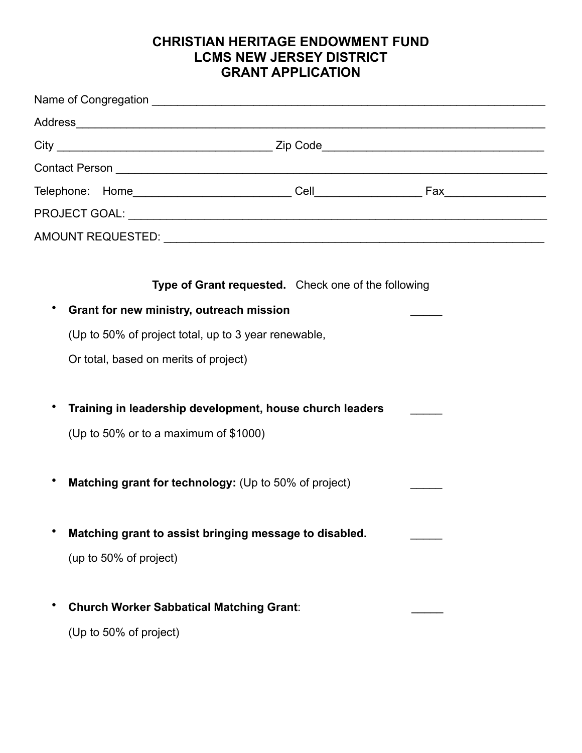## **CHRISTIAN HERITAGE ENDOWMENT FUND LCMS NEW JERSEY DISTRICT GRANT APPLICATION**

| Type of Grant requested. Check one of the following        |  |  |
|------------------------------------------------------------|--|--|
| Grant for new ministry, outreach mission<br>٠              |  |  |
| (Up to 50% of project total, up to 3 year renewable,       |  |  |
| Or total, based on merits of project)                      |  |  |
|                                                            |  |  |
| Training in leadership development, house church leaders   |  |  |
| (Up to 50% or to a maximum of \$1000)                      |  |  |
|                                                            |  |  |
| Matching grant for technology: (Up to 50% of project)<br>٠ |  |  |
|                                                            |  |  |
| Matching grant to assist bringing message to disabled.     |  |  |
| (up to 50% of project)                                     |  |  |
|                                                            |  |  |
| <b>Church Worker Sabbatical Matching Grant:</b>            |  |  |

(Up to 50% of project)